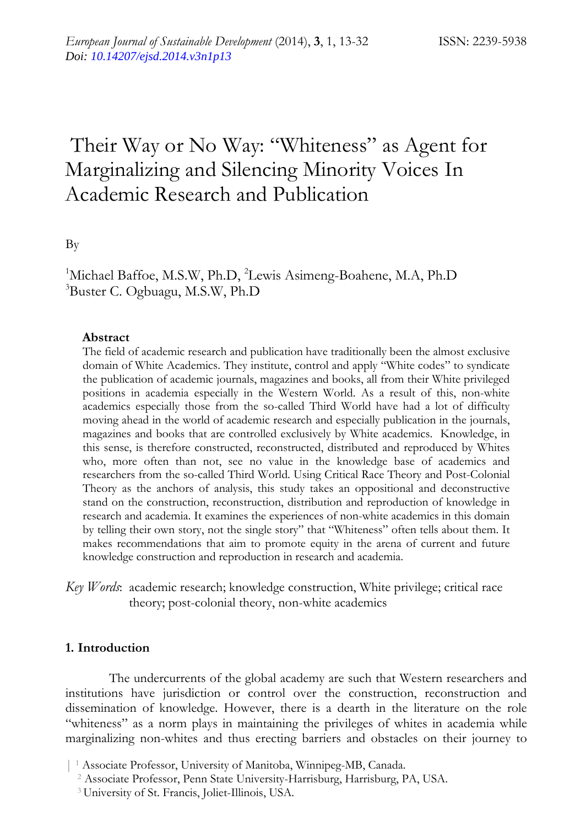# Their Way or No Way: "Whiteness" as Agent for Marginalizing and Silencing Minority Voices In Academic Research and Publication

By

<sup>1</sup>Michael Baffoe, M.S.W, Ph.D, <sup>2</sup>Lewis Asimeng-Boahene, M.A, Ph.D 3 Buster C. Ogbuagu, M.S.W, Ph.D

#### **Abstract**

The field of academic research and publication have traditionally been the almost exclusive domain of White Academics. They institute, control and apply "White codes" to syndicate the publication of academic journals, magazines and books, all from their White privileged positions in academia especially in the Western World. As a result of this, non-white academics especially those from the so-called Third World have had a lot of difficulty moving ahead in the world of academic research and especially publication in the journals, magazines and books that are controlled exclusively by White academics. Knowledge, in this sense, is therefore constructed, reconstructed, distributed and reproduced by Whites who, more often than not, see no value in the knowledge base of academics and researchers from the so-called Third World. Using Critical Race Theory and Post-Colonial Theory as the anchors of analysis, this study takes an oppositional and deconstructive stand on the construction, reconstruction, distribution and reproduction of knowledge in research and academia. It examines the experiences of non-white academics in this domain by telling their own story, not the single story" that "Whiteness" often tells about them. It makes recommendations that aim to promote equity in the arena of current and future knowledge construction and reproduction in research and academia.

*Key Words*: academic research; knowledge construction, White privilege; critical race theory; post-colonial theory, non-white academics

#### **1. Introduction**

The undercurrents of the global academy are such that Western researchers and institutions have jurisdiction or control over the construction, reconstruction and dissemination of knowledge. However, there is a dearth in the literature on the role "whiteness" as a norm plays in maintaining the privileges of whites in academia while marginalizing non-whites and thus erecting barriers and obstacles on their journey to

<sup>| 1</sup> Associate Professor, University of Manitoba, Winnipeg-MB, Canada.

 <sup>2</sup> Associate Professor, Penn State University-Harrisburg, Harrisburg, PA, USA.

 <sup>3</sup> University of St. Francis, Joliet-Illinois, USA.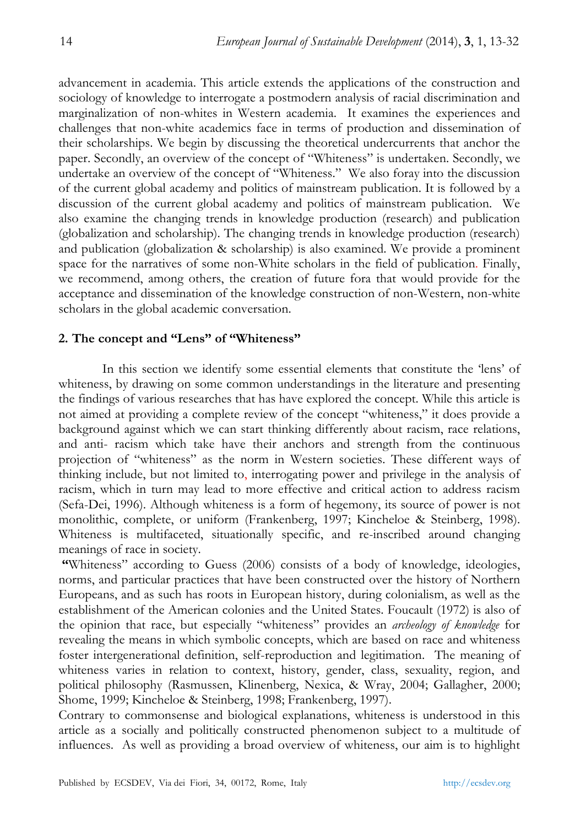advancement in academia. This article extends the applications of the construction and sociology of knowledge to interrogate a postmodern analysis of racial discrimination and marginalization of non-whites in Western academia. It examines the experiences and challenges that non-white academics face in terms of production and dissemination of their scholarships. We begin by discussing the theoretical undercurrents that anchor the paper. Secondly, an overview of the concept of "Whiteness" is undertaken. Secondly, we undertake an overview of the concept of "Whiteness." We also foray into the discussion of the current global academy and politics of mainstream publication. It is followed by a discussion of the current global academy and politics of mainstream publication. We also examine the changing trends in knowledge production (research) and publication (globalization and scholarship). The changing trends in knowledge production (research) and publication (globalization & scholarship) is also examined. We provide a prominent space for the narratives of some non-White scholars in the field of publication. Finally, we recommend, among others, the creation of future fora that would provide for the acceptance and dissemination of the knowledge construction of non-Western, non-white scholars in the global academic conversation.

#### **2. The concept and "Lens" of "Whiteness"**

In this section we identify some essential elements that constitute the 'lens' of whiteness, by drawing on some common understandings in the literature and presenting the findings of various researches that has have explored the concept. While this article is not aimed at providing a complete review of the concept "whiteness," it does provide a background against which we can start thinking differently about racism, race relations, and anti- racism which take have their anchors and strength from the continuous projection of "whiteness" as the norm in Western societies. These different ways of thinking include, but not limited to, interrogating power and privilege in the analysis of racism, which in turn may lead to more effective and critical action to address racism (Sefa-Dei, 1996). Although whiteness is a form of hegemony, its source of power is not monolithic, complete, or uniform (Frankenberg, 1997; Kincheloe & Steinberg, 1998). Whiteness is multifaceted, situationally specific, and re-inscribed around changing meanings of race in society.

 **"**Whiteness" according to Guess (2006) consists of a body of knowledge, ideologies, norms, and particular practices that have been constructed over the history of Northern Europeans, and as such has roots in European history, during colonialism, as well as the establishment of the American colonies and the United States. Foucault (1972) is also of the opinion that race, but especially "whiteness" provides an *archeology of knowledge* for revealing the means in which symbolic concepts, which are based on race and whiteness foster intergenerational definition, self-reproduction and legitimation. The meaning of whiteness varies in relation to context, history, gender, class, sexuality, region, and political philosophy (Rasmussen, Klinenberg, Nexica, & Wray, 2004; Gallagher, 2000; Shome, 1999; Kincheloe & Steinberg, 1998; Frankenberg, 1997).

Contrary to commonsense and biological explanations, whiteness is understood in this article as a socially and politically constructed phenomenon subject to a multitude of influences. As well as providing a broad overview of whiteness, our aim is to highlight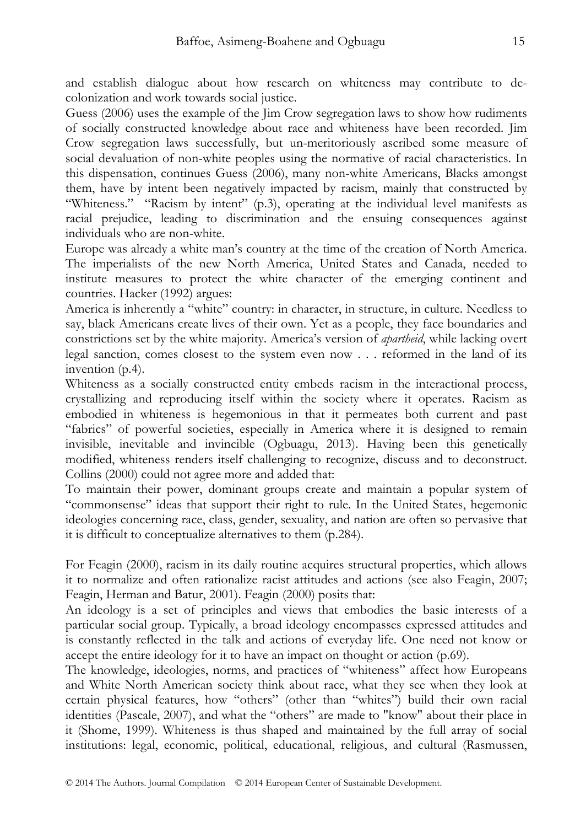and establish dialogue about how research on whiteness may contribute to decolonization and work towards social justice.

Guess (2006) uses the example of the Jim Crow segregation laws to show how rudiments of socially constructed knowledge about race and whiteness have been recorded. Jim Crow segregation laws successfully, but un-meritoriously ascribed some measure of social devaluation of non-white peoples using the normative of racial characteristics. In this dispensation, continues Guess (2006), many non-white Americans, Blacks amongst them, have by intent been negatively impacted by racism, mainly that constructed by "Whiteness." "Racism by intent" (p.3), operating at the individual level manifests as racial prejudice, leading to discrimination and the ensuing consequences against individuals who are non-white.

Europe was already a white man's country at the time of the creation of North America. The imperialists of the new North America, United States and Canada, needed to institute measures to protect the white character of the emerging continent and countries. Hacker (1992) argues:

America is inherently a "white" country: in character, in structure, in culture. Needless to say, black Americans create lives of their own. Yet as a people, they face boundaries and constrictions set by the white majority. America's version of *apartheid*, while lacking overt legal sanction, comes closest to the system even now . . . reformed in the land of its invention (p.4).

Whiteness as a socially constructed entity embeds racism in the interactional process, crystallizing and reproducing itself within the society where it operates. Racism as embodied in whiteness is hegemonious in that it permeates both current and past "fabrics" of powerful societies, especially in America where it is designed to remain invisible, inevitable and invincible (Ogbuagu, 2013). Having been this genetically modified, whiteness renders itself challenging to recognize, discuss and to deconstruct. Collins (2000) could not agree more and added that:

To maintain their power, dominant groups create and maintain a popular system of "commonsense" ideas that support their right to rule. In the United States, hegemonic ideologies concerning race, class, gender, sexuality, and nation are often so pervasive that it is difficult to conceptualize alternatives to them (p.284).

For Feagin (2000), racism in its daily routine acquires structural properties, which allows it to normalize and often rationalize racist attitudes and actions (see also Feagin, 2007; Feagin, Herman and Batur, 2001). Feagin (2000) posits that:

An ideology is a set of principles and views that embodies the basic interests of a particular social group. Typically, a broad ideology encompasses expressed attitudes and is constantly reflected in the talk and actions of everyday life. One need not know or accept the entire ideology for it to have an impact on thought or action (p.69).

The knowledge, ideologies, norms, and practices of "whiteness" affect how Europeans and White North American society think about race, what they see when they look at certain physical features, how "others" (other than "whites") build their own racial identities (Pascale, 2007), and what the "others" are made to "know" about their place in it (Shome, 1999). Whiteness is thus shaped and maintained by the full array of social institutions: legal, economic, political, educational, religious, and cultural (Rasmussen,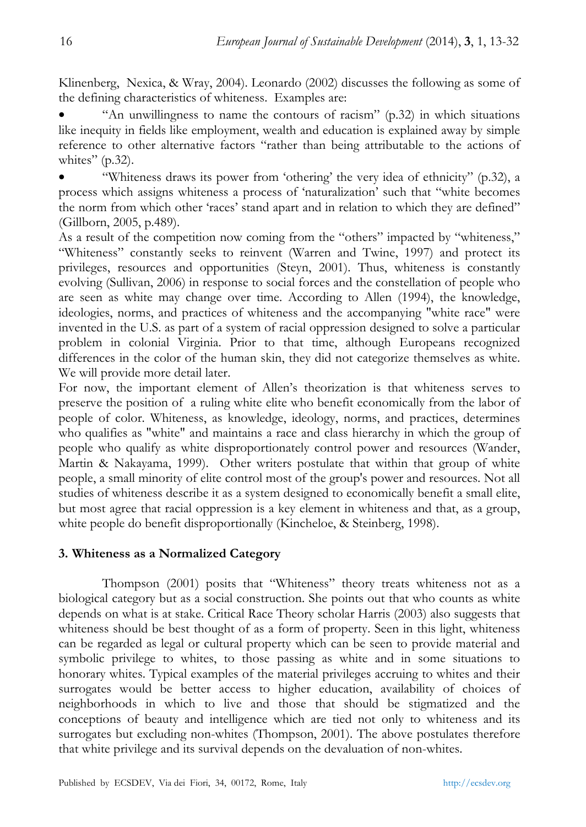Klinenberg, Nexica, & Wray, 2004). Leonardo (2002) discusses the following as some of the defining characteristics of whiteness. Examples are:

• "An unwillingness to name the contours of racism" (p.32) in which situations like inequity in fields like employment, wealth and education is explained away by simple reference to other alternative factors "rather than being attributable to the actions of whites"  $(p.32)$ .

• "Whiteness draws its power from 'othering' the very idea of ethnicity" (p.32), a process which assigns whiteness a process of 'naturalization' such that "white becomes the norm from which other 'races' stand apart and in relation to which they are defined" (Gillborn, 2005, p.489).

As a result of the competition now coming from the "others" impacted by "whiteness," "Whiteness" constantly seeks to reinvent (Warren and Twine, 1997) and protect its privileges, resources and opportunities (Steyn, 2001). Thus, whiteness is constantly evolving (Sullivan, 2006) in response to social forces and the constellation of people who are seen as white may change over time. According to Allen (1994), the knowledge, ideologies, norms, and practices of whiteness and the accompanying "white race" were invented in the U.S. as part of a system of racial oppression designed to solve a particular problem in colonial Virginia. Prior to that time, although Europeans recognized differences in the color of the human skin, they did not categorize themselves as white. We will provide more detail later.

For now, the important element of Allen's theorization is that whiteness serves to preserve the position of a ruling white elite who benefit economically from the labor of people of color. Whiteness, as knowledge, ideology, norms, and practices, determines who qualifies as "white" and maintains a race and class hierarchy in which the group of people who qualify as white disproportionately control power and resources (Wander, Martin & Nakayama, 1999). Other writers postulate that within that group of white people, a small minority of elite control most of the group's power and resources. Not all studies of whiteness describe it as a system designed to economically benefit a small elite, but most agree that racial oppression is a key element in whiteness and that, as a group, white people do benefit disproportionally (Kincheloe, & Steinberg, 1998).

# **3. Whiteness as a Normalized Category**

Thompson (2001) posits that "Whiteness" theory treats whiteness not as a biological category but as a social construction. She points out that who counts as white depends on what is at stake. Critical Race Theory scholar Harris (2003) also suggests that whiteness should be best thought of as a form of property. Seen in this light, whiteness can be regarded as legal or cultural property which can be seen to provide material and symbolic privilege to whites, to those passing as white and in some situations to honorary whites. Typical examples of the material privileges accruing to whites and their surrogates would be better access to higher education, availability of choices of neighborhoods in which to live and those that should be stigmatized and the conceptions of beauty and intelligence which are tied not only to whiteness and its surrogates but excluding non-whites (Thompson, 2001). The above postulates therefore that white privilege and its survival depends on the devaluation of non-whites.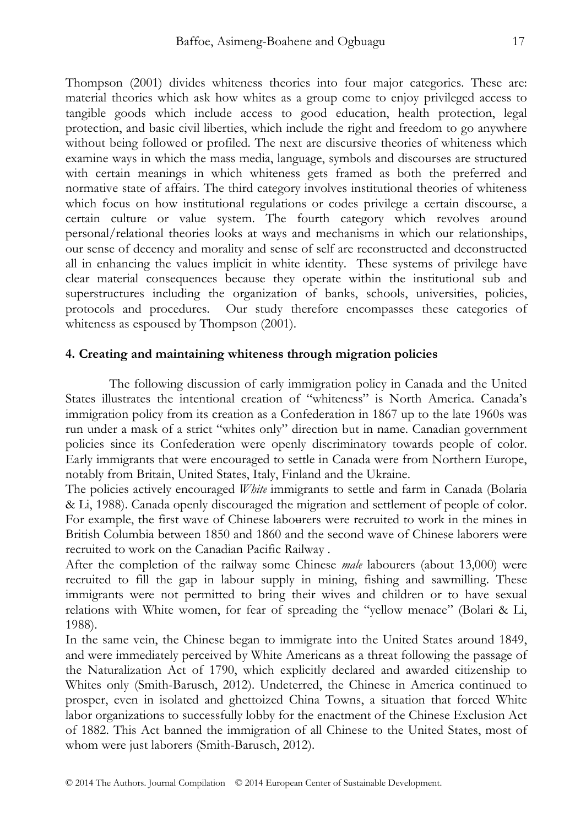Thompson (2001) divides whiteness theories into four major categories. These are: material theories which ask how whites as a group come to enjoy privileged access to tangible goods which include access to good education, health protection, legal protection, and basic civil liberties, which include the right and freedom to go anywhere without being followed or profiled. The next are discursive theories of whiteness which examine ways in which the mass media, language, symbols and discourses are structured with certain meanings in which whiteness gets framed as both the preferred and normative state of affairs. The third category involves institutional theories of whiteness which focus on how institutional regulations or codes privilege a certain discourse, a certain culture or value system. The fourth category which revolves around personal/relational theories looks at ways and mechanisms in which our relationships, our sense of decency and morality and sense of self are reconstructed and deconstructed all in enhancing the values implicit in white identity. These systems of privilege have clear material consequences because they operate within the institutional sub and superstructures including the organization of banks, schools, universities, policies, protocols and procedures. Our study therefore encompasses these categories of whiteness as espoused by Thompson (2001).

#### **4. Creating and maintaining whiteness through migration policies**

The following discussion of early immigration policy in Canada and the United States illustrates the intentional creation of "whiteness" is North America. Canada's immigration policy from its creation as a Confederation in 1867 up to the late 1960s was run under a mask of a strict "whites only" direction but in name. Canadian government policies since its Confederation were openly discriminatory towards people of color. Early immigrants that were encouraged to settle in Canada were from Northern Europe, notably from Britain, United States, Italy, Finland and the Ukraine.

The policies actively encouraged *White* immigrants to settle and farm in Canada (Bolaria & Li, 1988). Canada openly discouraged the migration and settlement of people of color. For example, the first wave of Chinese labourers were recruited to work in the mines in British Columbia between 1850 and 1860 and the second wave of Chinese laborers were recruited to work on the Canadian Pacific Railway .

After the completion of the railway some Chinese *male* labourers (about 13,000) were recruited to fill the gap in labour supply in mining, fishing and sawmilling. These immigrants were not permitted to bring their wives and children or to have sexual relations with White women, for fear of spreading the "yellow menace" (Bolari & Li, 1988).

In the same vein, the Chinese began to immigrate into the United States around 1849, and were immediately perceived by White Americans as a threat following the passage of the Naturalization Act of 1790, which explicitly declared and awarded citizenship to Whites only (Smith-Barusch, 2012). Undeterred, the Chinese in America continued to prosper, even in isolated and ghettoized China Towns, a situation that forced White labor organizations to successfully lobby for the enactment of the Chinese Exclusion Act of 1882. This Act banned the immigration of all Chinese to the United States, most of whom were just laborers (Smith-Barusch, 2012).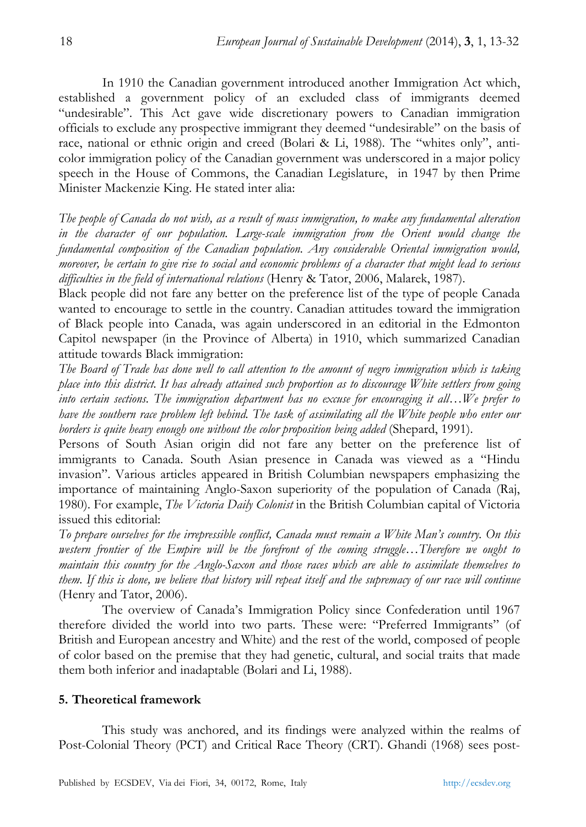In 1910 the Canadian government introduced another Immigration Act which, established a government policy of an excluded class of immigrants deemed "undesirable". This Act gave wide discretionary powers to Canadian immigration officials to exclude any prospective immigrant they deemed "undesirable" on the basis of race, national or ethnic origin and creed (Bolari & Li, 1988)*.* The "whites only", anticolor immigration policy of the Canadian government was underscored in a major policy speech in the House of Commons, the Canadian Legislature, in 1947 by then Prime Minister Mackenzie King. He stated inter alia:

*The people of Canada do not wish, as a result of mass immigration, to make any fundamental alteration*  in the character of our population. Large-scale immigration from the Orient would change the *fundamental composition of the Canadian population. Any considerable Oriental immigration would, moreover, be certain to give rise to social and economic problems of a character that might lead to serious difficulties in the field of international relations* (Henry & Tator, 2006, Malarek, 1987).

Black people did not fare any better on the preference list of the type of people Canada wanted to encourage to settle in the country. Canadian attitudes toward the immigration of Black people into Canada, was again underscored in an editorial in the Edmonton Capitol newspaper (in the Province of Alberta) in 1910, which summarized Canadian attitude towards Black immigration:

*The Board of Trade has done well to call attention to the amount of negro immigration which is taking place into this district. It has already attained such proportion as to discourage White settlers from going into certain sections. The immigration department has no excuse for encouraging it all…We prefer to have the southern race problem left behind. The task of assimilating all the White people who enter our borders is quite heavy enough one without the color proposition being added* (Shepard, 1991).

Persons of South Asian origin did not fare any better on the preference list of immigrants to Canada. South Asian presence in Canada was viewed as a "Hindu invasion". Various articles appeared in British Columbian newspapers emphasizing the importance of maintaining Anglo-Saxon superiority of the population of Canada (Raj, 1980). For example, *The Victoria Daily Colonist* in the British Columbian capital of Victoria issued this editorial:

*To prepare ourselves for the irrepressible conflict, Canada must remain a White Man's country. On this western frontier of the Empire will be the forefront of the coming struggle…Therefore we ought to maintain this country for the Anglo-Saxon and those races which are able to assimilate themselves to them.* If this is done, we believe that history will repeat itself and the supremacy of our race will continue (Henry and Tator, 2006).

 The overview of Canada's Immigration Policy since Confederation until 1967 therefore divided the world into two parts. These were: "Preferred Immigrants" (of British and European ancestry and White) and the rest of the world, composed of people of color based on the premise that they had genetic, cultural, and social traits that made them both inferior and inadaptable (Bolari and Li, 1988).

# **5. Theoretical framework**

This study was anchored, and its findings were analyzed within the realms of Post-Colonial Theory (PCT) and Critical Race Theory (CRT). Ghandi (1968) sees post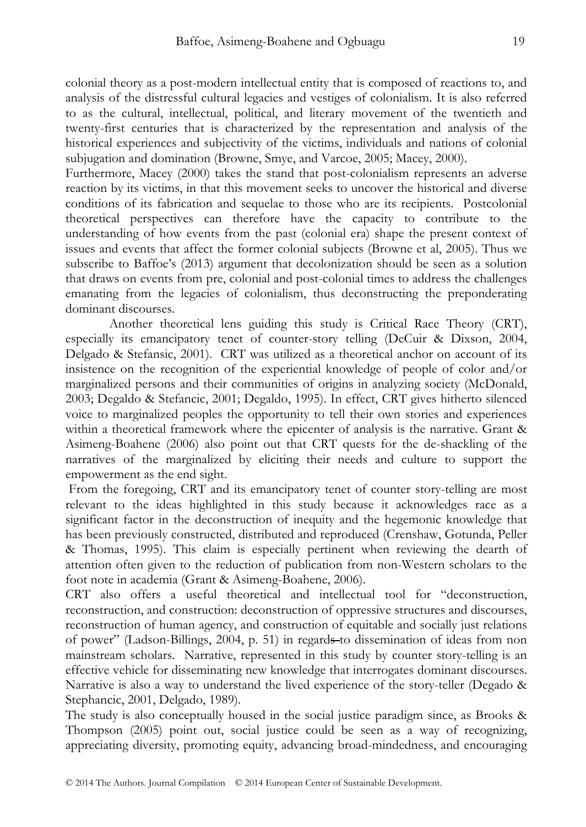colonial theory as a post-modern intellectual entity that is composed of reactions to, and analysis of the distressful cultural legacies and vestiges of colonialism. It is also referred to as the cultural, intellectual, political, and literary movement of the twentieth and twenty-first centuries that is characterized by the representation and analysis of the historical experiences and subjectivity of the victims, individuals and nations of colonial subjugation and domination (Browne, Smye, and Varcoe, 2005; Macey, 2000).

Furthermore, Macey (2000) takes the stand that post-colonialism represents an adverse reaction by its victims, in that this movement seeks to uncover the historical and diverse conditions of its fabrication and sequelae to those who are its recipients. Postcolonial theoretical perspectives can therefore have the capacity to contribute to the understanding of how events from the past (colonial era) shape the present context of issues and events that affect the former colonial subjects (Browne et al, 2005). Thus we subscribe to Baffoe's (2013) argument that decolonization should be seen as a solution that draws on events from pre, colonial and post-colonial times to address the challenges emanating from the legacies of colonialism, thus deconstructing the preponderating dominant discourses.

 Another theoretical lens guiding this study is Critical Race Theory (CRT), especially its emancipatory tenet of counter-story telling (DeCuir & Dixson, 2004, Delgado & Stefansic, 2001). CRT was utilized as a theoretical anchor on account of its insistence on the recognition of the experiential knowledge of people of color and/or marginalized persons and their communities of origins in analyzing society (McDonald, 2003; Degaldo & Stefancic, 2001; Degaldo, 1995). In effect, CRT gives hitherto silenced voice to marginalized peoples the opportunity to tell their own stories and experiences within a theoretical framework where the epicenter of analysis is the narrative. Grant & Asimeng-Boahene (2006) also point out that CRT quests for the de-shackling of the narratives of the marginalized by eliciting their needs and culture to support the empowerment as the end sight.

 From the foregoing, CRT and its emancipatory tenet of counter story-telling are most relevant to the ideas highlighted in this study because it acknowledges race as a significant factor in the deconstruction of inequity and the hegemonic knowledge that has been previously constructed, distributed and reproduced (Crenshaw, Gotunda, Peller & Thomas, 1995). This claim is especially pertinent when reviewing the dearth of attention often given to the reduction of publication from non-Western scholars to the foot note in academia (Grant & Asimeng-Boahene, 2006).

CRT also offers a useful theoretical and intellectual tool for "deconstruction, reconstruction, and construction: deconstruction of oppressive structures and discourses, reconstruction of human agency, and construction of equitable and socially just relations of power" (Ladson-Billings, 2004, p. 51) in regards to dissemination of ideas from non mainstream scholars. Narrative, represented in this study by counter story-telling is an effective vehicle for disseminating new knowledge that interrogates dominant discourses. Narrative is also a way to understand the lived experience of the story-teller (Degado & Stephancic, 2001, Delgado, 1989).

The study is also conceptually housed in the social justice paradigm since, as Brooks & Thompson (2005) point out, social justice could be seen as a way of recognizing, appreciating diversity, promoting equity, advancing broad-mindedness, and encouraging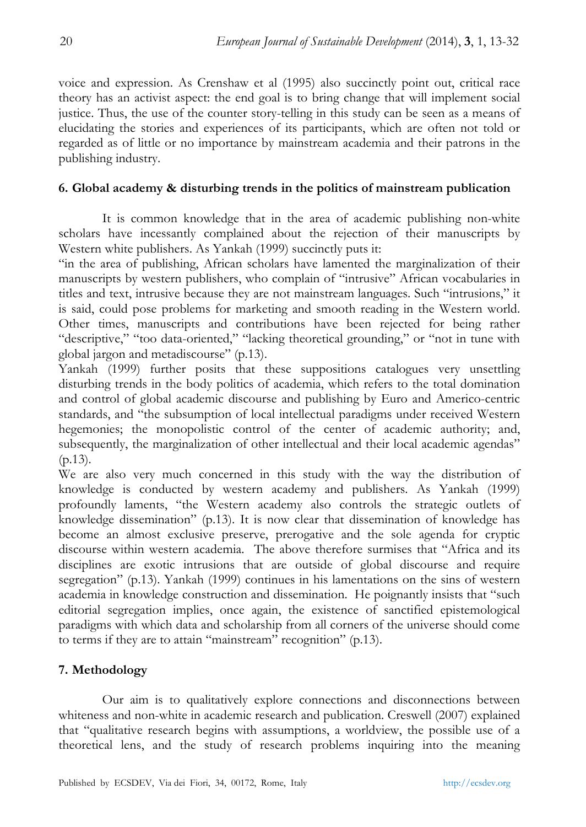voice and expression. As Crenshaw et al (1995) also succinctly point out, critical race theory has an activist aspect: the end goal is to bring change that will implement social justice. Thus, the use of the counter story-telling in this study can be seen as a means of elucidating the stories and experiences of its participants, which are often not told or regarded as of little or no importance by mainstream academia and their patrons in the publishing industry.

## **6. Global academy & disturbing trends in the politics of mainstream publication**

It is common knowledge that in the area of academic publishing non-white scholars have incessantly complained about the rejection of their manuscripts by Western white publishers. As Yankah (1999) succinctly puts it:

"in the area of publishing, African scholars have lamented the marginalization of their manuscripts by western publishers, who complain of "intrusive" African vocabularies in titles and text, intrusive because they are not mainstream languages. Such "intrusions," it is said, could pose problems for marketing and smooth reading in the Western world. Other times, manuscripts and contributions have been rejected for being rather "descriptive," "too data-oriented," "lacking theoretical grounding," or "not in tune with global jargon and metadiscourse" (p.13).

Yankah (1999) further posits that these suppositions catalogues very unsettling disturbing trends in the body politics of academia, which refers to the total domination and control of global academic discourse and publishing by Euro and Americo-centric standards, and "the subsumption of local intellectual paradigms under received Western hegemonies; the monopolistic control of the center of academic authority; and, subsequently, the marginalization of other intellectual and their local academic agendas" (p.13).

We are also very much concerned in this study with the way the distribution of knowledge is conducted by western academy and publishers. As Yankah (1999) profoundly laments, "the Western academy also controls the strategic outlets of knowledge dissemination" (p.13). It is now clear that dissemination of knowledge has become an almost exclusive preserve, prerogative and the sole agenda for cryptic discourse within western academia. The above therefore surmises that "Africa and its disciplines are exotic intrusions that are outside of global discourse and require segregation" (p.13). Yankah (1999) continues in his lamentations on the sins of western academia in knowledge construction and dissemination. He poignantly insists that "such editorial segregation implies, once again, the existence of sanctified epistemological paradigms with which data and scholarship from all corners of the universe should come to terms if they are to attain "mainstream" recognition" (p.13).

# **7. Methodology**

Our aim is to qualitatively explore connections and disconnections between whiteness and non-white in academic research and publication. Creswell (2007) explained that "qualitative research begins with assumptions, a worldview, the possible use of a theoretical lens, and the study of research problems inquiring into the meaning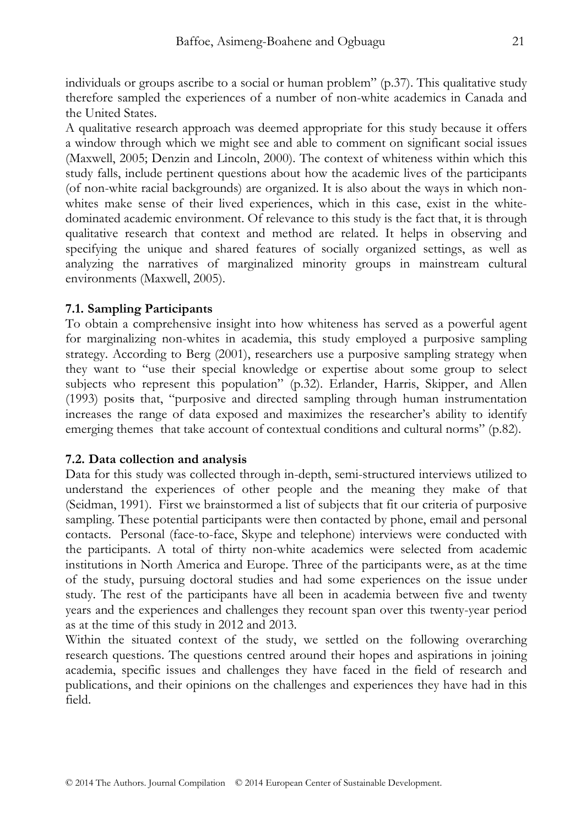individuals or groups ascribe to a social or human problem" (p.37). This qualitative study therefore sampled the experiences of a number of non-white academics in Canada and the United States.

A qualitative research approach was deemed appropriate for this study because it offers a window through which we might see and able to comment on significant social issues (Maxwell, 2005; Denzin and Lincoln, 2000). The context of whiteness within which this study falls, include pertinent questions about how the academic lives of the participants (of non-white racial backgrounds) are organized. It is also about the ways in which nonwhites make sense of their lived experiences, which in this case, exist in the whitedominated academic environment. Of relevance to this study is the fact that, it is through qualitative research that context and method are related. It helps in observing and specifying the unique and shared features of socially organized settings, as well as analyzing the narratives of marginalized minority groups in mainstream cultural environments (Maxwell, 2005).

#### **7.1. Sampling Participants**

To obtain a comprehensive insight into how whiteness has served as a powerful agent for marginalizing non-whites in academia, this study employed a purposive sampling strategy. According to Berg (2001), researchers use a purposive sampling strategy when they want to "use their special knowledge or expertise about some group to select subjects who represent this population" (p.32). Erlander, Harris, Skipper, and Allen (1993) posits that, "purposive and directed sampling through human instrumentation increases the range of data exposed and maximizes the researcher's ability to identify emerging themes that take account of contextual conditions and cultural norms" (p.82).

#### **7.2. Data collection and analysis**

Data for this study was collected through in-depth, semi-structured interviews utilized to understand the experiences of other people and the meaning they make of that (Seidman, 1991). First we brainstormed a list of subjects that fit our criteria of purposive sampling. These potential participants were then contacted by phone, email and personal contacts. Personal (face-to-face, Skype and telephone) interviews were conducted with the participants. A total of thirty non-white academics were selected from academic institutions in North America and Europe. Three of the participants were, as at the time of the study, pursuing doctoral studies and had some experiences on the issue under study. The rest of the participants have all been in academia between five and twenty years and the experiences and challenges they recount span over this twenty-year period as at the time of this study in 2012 and 2013.

Within the situated context of the study, we settled on the following overarching research questions. The questions centred around their hopes and aspirations in joining academia, specific issues and challenges they have faced in the field of research and publications, and their opinions on the challenges and experiences they have had in this field.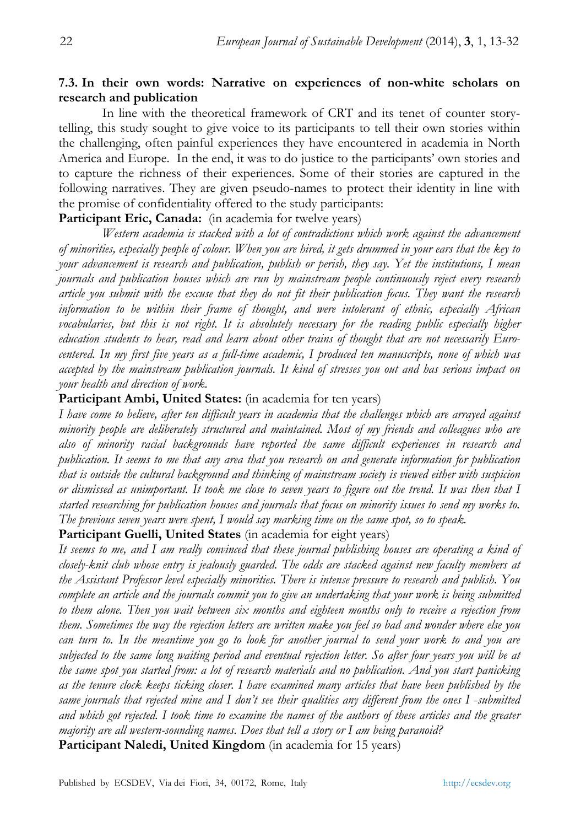# **7.3. In their own words: Narrative on experiences of non-white scholars on research and publication**

In line with the theoretical framework of CRT and its tenet of counter storytelling, this study sought to give voice to its participants to tell their own stories within the challenging, often painful experiences they have encountered in academia in North America and Europe. In the end, it was to do justice to the participants' own stories and to capture the richness of their experiences. Some of their stories are captured in the following narratives. They are given pseudo-names to protect their identity in line with the promise of confidentiality offered to the study participants:

# Participant Eric, Canada: (in academia for twelve years)

*Western academia is stacked with a lot of contradictions which work against the advancement of minorities, especially people of colour. When you are hired, it gets drummed in your ears that the key to your advancement is research and publication, publish or perish, they say. Yet the institutions, I mean journals and publication houses which are run by mainstream people continuously reject every research article you submit with the excuse that they do not fit their publication focus. They want the research information to be within their frame of thought, and were intolerant of ethnic, especially African vocabularies, but this is not right. It is absolutely necessary for the reading public especially higher education students to hear, read and learn about other trains of thought that are not necessarily Eurocentered. In my first five years as a full-time academic, I produced ten manuscripts, none of which was accepted by the mainstream publication journals. It kind of stresses you out and has serious impact on your health and direction of work.* 

# **Participant Ambi, United States:** (in academia for ten years)

*I have come to believe, after ten difficult years in academia that the challenges which are arrayed against minority people are deliberately structured and maintained. Most of my friends and colleagues who are also of minority racial backgrounds have reported the same difficult experiences in research and publication. It seems to me that any area that you research on and generate information for publication that is outside the cultural background and thinking of mainstream society is viewed either with suspicion or dismissed as unimportant. It took me close to seven years to figure out the trend. It was then that I started researching for publication houses and journals that focus on minority issues to send my works to. The previous seven years were spent, I would say marking time on the same spot, so to speak.* 

# **Participant Guelli, United States** (in academia for eight years)

*It seems to me, and I am really convinced that these journal publishing houses are operating a kind of closely-knit club whose entry is jealously guarded. The odds are stacked against new faculty members at the Assistant Professor level especially minorities. There is intense pressure to research and publish. You complete an article and the journals commit you to give an undertaking that your work is being submitted to them alone. Then you wait between six months and eighteen months only to receive a rejection from them. Sometimes the way the rejection letters are written make you feel so bad and wonder where else you can turn to. In the meantime you go to look for another journal to send your work to and you are subjected to the same long waiting period and eventual rejection letter. So after four years you will be at the same spot you started from: a lot of research materials and no publication. And you start panicking as the tenure clock keeps ticking closer. I have examined many articles that have been published by the same journals that rejected mine and I don't see their qualities any different from the ones I -submitted and which got rejected. I took time to examine the names of the authors of these articles and the greater majority are all western-sounding names. Does that tell a story or I am being paranoid?*  Participant Naledi, United Kingdom (in academia for 15 years)

Published by ECSDEV, Via dei Fiori, 34, 00172, Rome, Italy http://ecsdev.org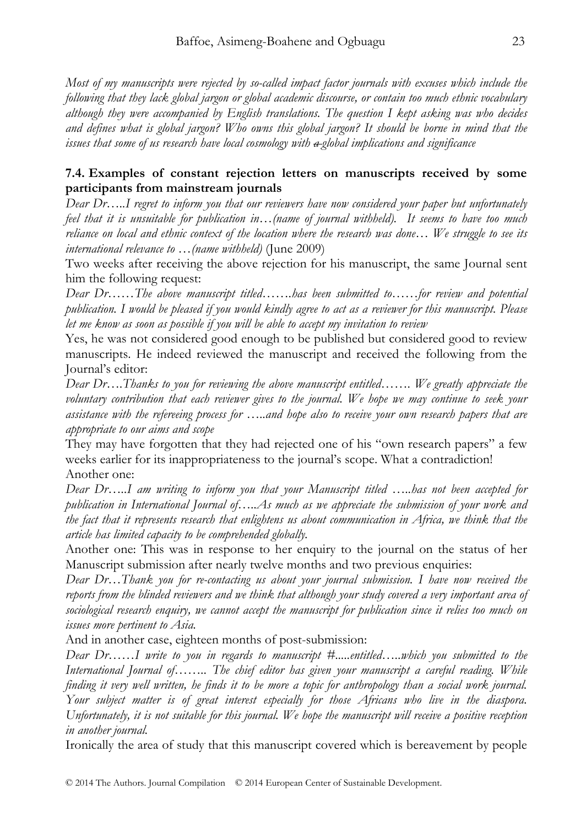*Most of my manuscripts were rejected by so-called impact factor journals with excuses which include the following that they lack global jargon or global academic discourse, or contain too much ethnic vocabulary although they were accompanied by English translations. The question I kept asking was who decides and defines what is global jargon? Who owns this global jargon? It should be borne in mind that the issues that some of us research have local cosmology with a global implications and significance* 

## **7.4. Examples of constant rejection letters on manuscripts received by some participants from mainstream journals**

*Dear Dr…..I regret to inform you that our reviewers have now considered your paper but unfortunately feel that it is unsuitable for publication in…(name of journal withheld). It seems to have too much reliance on local and ethnic context of the location where the research was done… We struggle to see its international relevance to …(name withheld)* (June 2009)

Two weeks after receiving the above rejection for his manuscript, the same Journal sent him the following request:

*Dear Dr……The above manuscript titled…….has been submitted to……for review and potential publication. I would be pleased if you would kindly agree to act as a reviewer for this manuscript. Please let me know as soon as possible if you will be able to accept my invitation to review* 

Yes, he was not considered good enough to be published but considered good to review manuscripts. He indeed reviewed the manuscript and received the following from the Journal's editor:

*Dear Dr….Thanks to you for reviewing the above manuscript entitled……. We greatly appreciate the voluntary contribution that each reviewer gives to the journal. We hope we may continue to seek your assistance with the refereeing process for …..and hope also to receive your own research papers that are appropriate to our aims and scope* 

They may have forgotten that they had rejected one of his "own research papers" a few weeks earlier for its inappropriateness to the journal's scope. What a contradiction! Another one:

*Dear Dr…..I am writing to inform you that your Manuscript titled …..has not been accepted for publication in International Journal of…..As much as we appreciate the submission of your work and the fact that it represents research that enlightens us about communication in Africa, we think that the article has limited capacity to be comprehended globally.* 

Another one: This was in response to her enquiry to the journal on the status of her Manuscript submission after nearly twelve months and two previous enquiries:

*Dear Dr…Thank you for re-contacting us about your journal submission. I have now received the reports from the blinded reviewers and we think that although your study covered a very important area of sociological research enquiry, we cannot accept the manuscript for publication since it relies too much on issues more pertinent to Asia.* 

And in another case, eighteen months of post-submission:

*Dear Dr……I write to you in regards to manuscript #.....entitled…..which you submitted to the International Journal of…….. The chief editor has given your manuscript a careful reading. While finding it very well written, he finds it to be more a topic for anthropology than a social work journal. Your subject matter is of great interest especially for those Africans who live in the diaspora. Unfortunately, it is not suitable for this journal. We hope the manuscript will receive a positive reception in another journal.* 

Ironically the area of study that this manuscript covered which is bereavement by people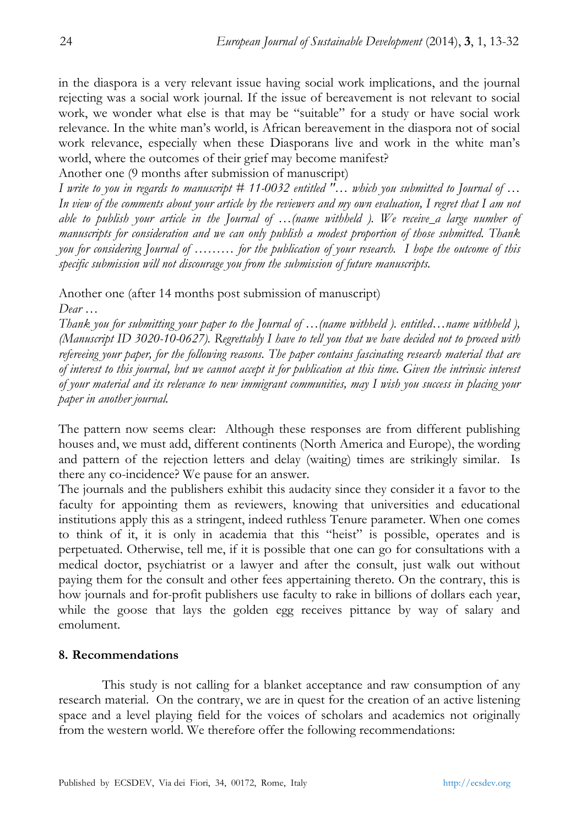in the diaspora is a very relevant issue having social work implications, and the journal rejecting was a social work journal. If the issue of bereavement is not relevant to social work, we wonder what else is that may be "suitable" for a study or have social work relevance. In the white man's world, is African bereavement in the diaspora not of social work relevance, especially when these Diasporans live and work in the white man's world, where the outcomes of their grief may become manifest?

Another one (9 months after submission of manuscript)

*I write to you in regards to manuscript # 11-0032 entitled "… which you submitted to Journal of … In view of the comments about your article by the reviewers and my own evaluation, I regret that I am not able to publish your article in the Journal of …(name withheld ). We receive a large number of manuscripts for consideration and we can only publish a modest proportion of those submitted. Thank you for considering Journal of ……… for the publication of your research. I hope the outcome of this specific submission will not discourage you from the submission of future manuscripts.* 

Another one (after 14 months post submission of manuscript) *Dear …* 

*Thank you for submitting your paper to the Journal of …(name withheld ). entitled…name withheld ), (Manuscript ID 3020-10-0627). Regrettably I have to tell you that we have decided not to proceed with refereeing your paper, for the following reasons. The paper contains fascinating research material that are of interest to this journal, but we cannot accept it for publication at this time. Given the intrinsic interest of your material and its relevance to new immigrant communities, may I wish you success in placing your paper in another journal.* 

The pattern now seems clear: Although these responses are from different publishing houses and, we must add, different continents (North America and Europe), the wording and pattern of the rejection letters and delay (waiting) times are strikingly similar. Is there any co-incidence? We pause for an answer.

The journals and the publishers exhibit this audacity since they consider it a favor to the faculty for appointing them as reviewers, knowing that universities and educational institutions apply this as a stringent, indeed ruthless Tenure parameter. When one comes to think of it, it is only in academia that this "heist" is possible, operates and is perpetuated. Otherwise, tell me, if it is possible that one can go for consultations with a medical doctor, psychiatrist or a lawyer and after the consult, just walk out without paying them for the consult and other fees appertaining thereto. On the contrary, this is how journals and for-profit publishers use faculty to rake in billions of dollars each year, while the goose that lays the golden egg receives pittance by way of salary and emolument.

# **8. Recommendations**

This study is not calling for a blanket acceptance and raw consumption of any research material. On the contrary, we are in quest for the creation of an active listening space and a level playing field for the voices of scholars and academics not originally from the western world. We therefore offer the following recommendations: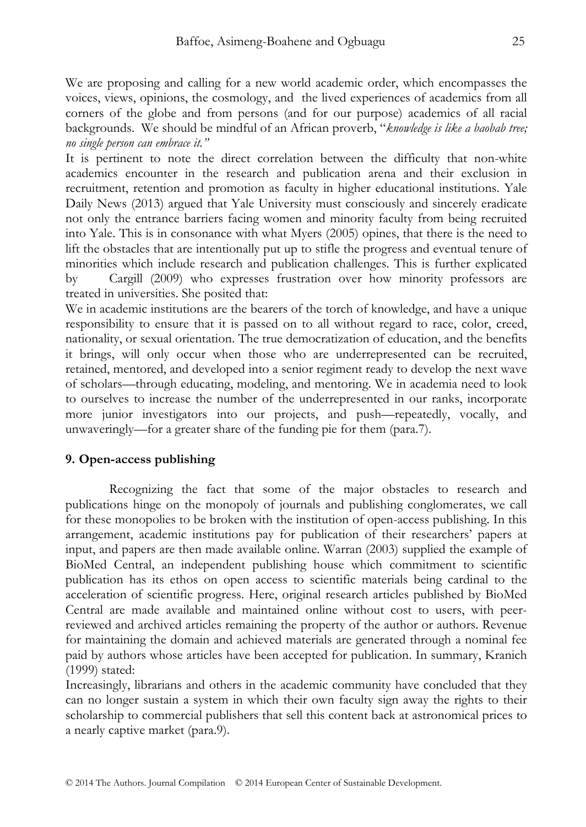We are proposing and calling for a new world academic order, which encompasses the voices, views, opinions, the cosmology, and the lived experiences of academics from all corners of the globe and from persons (and for our purpose) academics of all racial backgrounds. We should be mindful of an African proverb, "*knowledge is like a baobab tree; no single person can embrace it."* 

It is pertinent to note the direct correlation between the difficulty that non-white academics encounter in the research and publication arena and their exclusion in recruitment, retention and promotion as faculty in higher educational institutions. Yale Daily News (2013) argued that Yale University must consciously and sincerely eradicate not only the entrance barriers facing women and minority faculty from being recruited into Yale. This is in consonance with what Myers (2005) opines, that there is the need to lift the obstacles that are intentionally put up to stifle the progress and eventual tenure of minorities which include research and publication challenges. This is further explicated by Cargill (2009) who expresses frustration over how minority professors are treated in universities. She posited that:

We in academic institutions are the bearers of the torch of knowledge, and have a unique responsibility to ensure that it is passed on to all without regard to race, color, creed, nationality, or sexual orientation. The true democratization of education, and the benefits it brings, will only occur when those who are underrepresented can be recruited, retained, mentored, and developed into a senior regiment ready to develop the next wave of scholars—through educating, modeling, and mentoring. We in academia need to look to ourselves to increase the number of the underrepresented in our ranks, incorporate more junior investigators into our projects, and push—repeatedly, vocally, and unwaveringly—for a greater share of the funding pie for them (para.7).

#### **9. Open-access publishing**

Recognizing the fact that some of the major obstacles to research and publications hinge on the monopoly of journals and publishing conglomerates, we call for these monopolies to be broken with the institution of open-access publishing. In this arrangement, academic institutions pay for publication of their researchers' papers at input, and papers are then made available online. Warran (2003) supplied the example of BioMed Central, an independent publishing house which commitment to scientific publication has its ethos on open access to scientific materials being cardinal to the acceleration of scientific progress. Here, original research articles published by BioMed Central are made available and maintained online without cost to users, with peerreviewed and archived articles remaining the property of the author or authors. Revenue for maintaining the domain and achieved materials are generated through a nominal fee paid by authors whose articles have been accepted for publication. In summary, Kranich (1999) stated:

Increasingly, librarians and others in the academic community have concluded that they can no longer sustain a system in which their own faculty sign away the rights to their scholarship to commercial publishers that sell this content back at astronomical prices to a nearly captive market (para.9).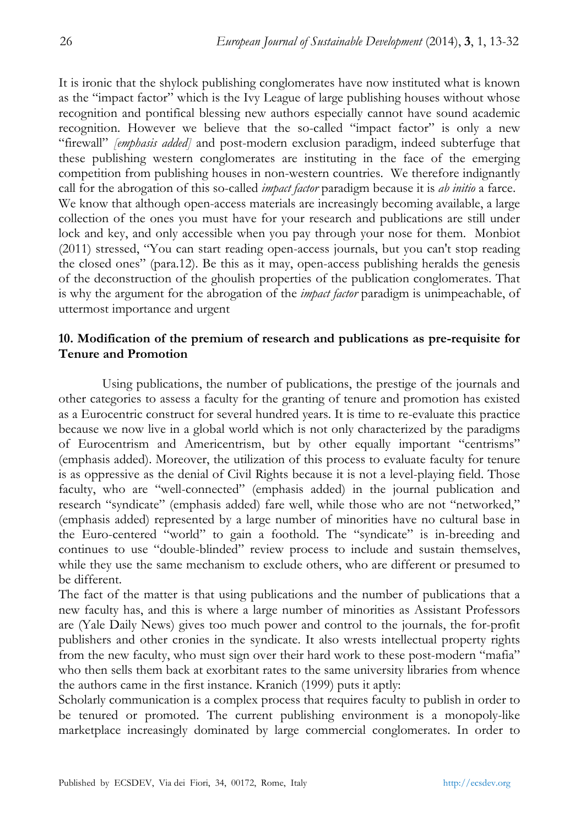It is ironic that the shylock publishing conglomerates have now instituted what is known as the "impact factor" which is the Ivy League of large publishing houses without whose recognition and pontifical blessing new authors especially cannot have sound academic recognition. However we believe that the so-called "impact factor" is only a new "firewall" *[emphasis added]* and post-modern exclusion paradigm, indeed subterfuge that these publishing western conglomerates are instituting in the face of the emerging competition from publishing houses in non-western countries. We therefore indignantly call for the abrogation of this so-called *impact factor* paradigm because it is *ab initio* a farce. We know that although open-access materials are increasingly becoming available, a large collection of the ones you must have for your research and publications are still under lock and key, and only accessible when you pay through your nose for them. Monbiot (2011) stressed, "You can start reading open-access journals, but you can't stop reading the closed ones" (para.12). Be this as it may, open-access publishing heralds the genesis of the deconstruction of the ghoulish properties of the publication conglomerates. That is why the argument for the abrogation of the *impact factor* paradigm is unimpeachable, of uttermost importance and urgent

# **10. Modification of the premium of research and publications as pre-requisite for Tenure and Promotion**

Using publications, the number of publications, the prestige of the journals and other categories to assess a faculty for the granting of tenure and promotion has existed as a Eurocentric construct for several hundred years. It is time to re-evaluate this practice because we now live in a global world which is not only characterized by the paradigms of Eurocentrism and Americentrism, but by other equally important "centrisms" (emphasis added). Moreover, the utilization of this process to evaluate faculty for tenure is as oppressive as the denial of Civil Rights because it is not a level-playing field. Those faculty, who are "well-connected" (emphasis added) in the journal publication and research "syndicate" (emphasis added) fare well, while those who are not "networked," (emphasis added) represented by a large number of minorities have no cultural base in the Euro-centered "world" to gain a foothold. The "syndicate" is in-breeding and continues to use "double-blinded" review process to include and sustain themselves, while they use the same mechanism to exclude others, who are different or presumed to be different.

The fact of the matter is that using publications and the number of publications that a new faculty has, and this is where a large number of minorities as Assistant Professors are (Yale Daily News) gives too much power and control to the journals, the for-profit publishers and other cronies in the syndicate. It also wrests intellectual property rights from the new faculty, who must sign over their hard work to these post-modern "mafia" who then sells them back at exorbitant rates to the same university libraries from whence the authors came in the first instance. Kranich (1999) puts it aptly:

Scholarly communication is a complex process that requires faculty to publish in order to be tenured or promoted. The current publishing environment is a monopoly-like marketplace increasingly dominated by large commercial conglomerates. In order to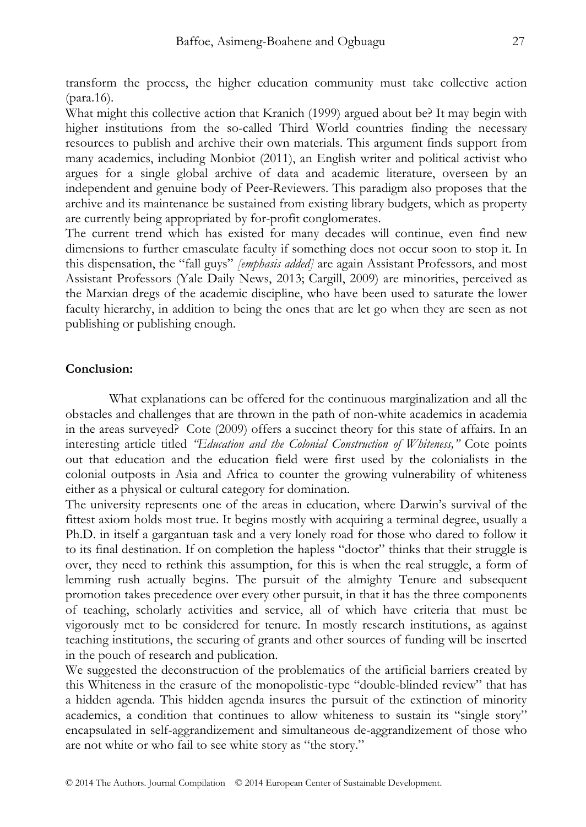transform the process, the higher education community must take collective action (para.16).

What might this collective action that Kranich (1999) argued about be? It may begin with higher institutions from the so-called Third World countries finding the necessary resources to publish and archive their own materials. This argument finds support from many academics, including Monbiot (2011), an English writer and political activist who argues for a single global archive of data and academic literature, overseen by an independent and genuine body of Peer-Reviewers. This paradigm also proposes that the archive and its maintenance be sustained from existing library budgets, which as property are currently being appropriated by for-profit conglomerates.

The current trend which has existed for many decades will continue, even find new dimensions to further emasculate faculty if something does not occur soon to stop it. In this dispensation, the "fall guys" *[emphasis added]* are again Assistant Professors, and most Assistant Professors (Yale Daily News, 2013; Cargill, 2009) are minorities, perceived as the Marxian dregs of the academic discipline, who have been used to saturate the lower faculty hierarchy, in addition to being the ones that are let go when they are seen as not publishing or publishing enough.

#### **Conclusion:**

What explanations can be offered for the continuous marginalization and all the obstacles and challenges that are thrown in the path of non-white academics in academia in the areas surveyed? Cote (2009) offers a succinct theory for this state of affairs. In an interesting article titled *"Education and the Colonial Construction of Whiteness,"* Cote points out that education and the education field were first used by the colonialists in the colonial outposts in Asia and Africa to counter the growing vulnerability of whiteness either as a physical or cultural category for domination.

The university represents one of the areas in education, where Darwin's survival of the fittest axiom holds most true. It begins mostly with acquiring a terminal degree, usually a Ph.D. in itself a gargantuan task and a very lonely road for those who dared to follow it to its final destination. If on completion the hapless "doctor" thinks that their struggle is over, they need to rethink this assumption, for this is when the real struggle, a form of lemming rush actually begins. The pursuit of the almighty Tenure and subsequent promotion takes precedence over every other pursuit, in that it has the three components of teaching, scholarly activities and service, all of which have criteria that must be vigorously met to be considered for tenure. In mostly research institutions, as against teaching institutions, the securing of grants and other sources of funding will be inserted in the pouch of research and publication.

We suggested the deconstruction of the problematics of the artificial barriers created by this Whiteness in the erasure of the monopolistic-type "double-blinded review" that has a hidden agenda. This hidden agenda insures the pursuit of the extinction of minority academics, a condition that continues to allow whiteness to sustain its "single story" encapsulated in self-aggrandizement and simultaneous de-aggrandizement of those who are not white or who fail to see white story as "the story."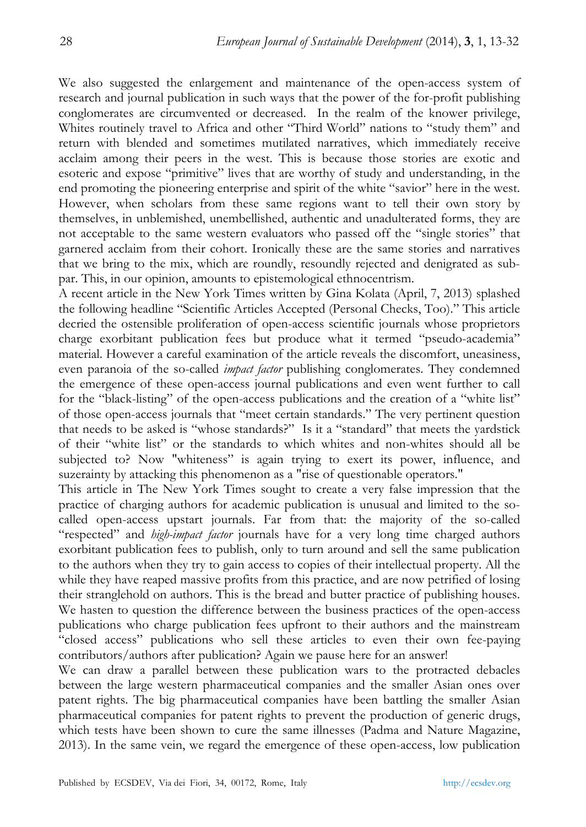We also suggested the enlargement and maintenance of the open-access system of research and journal publication in such ways that the power of the for-profit publishing conglomerates are circumvented or decreased. In the realm of the knower privilege, Whites routinely travel to Africa and other "Third World" nations to "study them" and return with blended and sometimes mutilated narratives, which immediately receive acclaim among their peers in the west. This is because those stories are exotic and esoteric and expose "primitive" lives that are worthy of study and understanding, in the end promoting the pioneering enterprise and spirit of the white "savior" here in the west. However, when scholars from these same regions want to tell their own story by themselves, in unblemished, unembellished, authentic and unadulterated forms, they are not acceptable to the same western evaluators who passed off the "single stories" that garnered acclaim from their cohort. Ironically these are the same stories and narratives that we bring to the mix, which are roundly, resoundly rejected and denigrated as subpar. This, in our opinion, amounts to epistemological ethnocentrism.

A recent article in the New York Times written by Gina Kolata (April, 7, 2013) splashed the following headline "Scientific Articles Accepted (Personal Checks, Too)." This article decried the ostensible proliferation of open-access scientific journals whose proprietors charge exorbitant publication fees but produce what it termed "pseudo-academia" material. However a careful examination of the article reveals the discomfort, uneasiness, even paranoia of the so-called *impact factor* publishing conglomerates. They condemned the emergence of these open-access journal publications and even went further to call for the "black-listing" of the open-access publications and the creation of a "white list" of those open-access journals that "meet certain standards." The very pertinent question that needs to be asked is "whose standards?" Is it a "standard" that meets the yardstick of their "white list" or the standards to which whites and non-whites should all be subjected to? Now "whiteness" is again trying to exert its power, influence, and suzerainty by attacking this phenomenon as a "rise of questionable operators."

This article in The New York Times sought to create a very false impression that the practice of charging authors for academic publication is unusual and limited to the socalled open-access upstart journals. Far from that: the majority of the so-called "respected" and *high-impact factor* journals have for a very long time charged authors exorbitant publication fees to publish, only to turn around and sell the same publication to the authors when they try to gain access to copies of their intellectual property. All the while they have reaped massive profits from this practice, and are now petrified of losing their stranglehold on authors. This is the bread and butter practice of publishing houses. We hasten to question the difference between the business practices of the open-access publications who charge publication fees upfront to their authors and the mainstream "closed access" publications who sell these articles to even their own fee-paying contributors/authors after publication? Again we pause here for an answer!

We can draw a parallel between these publication wars to the protracted debacles between the large western pharmaceutical companies and the smaller Asian ones over patent rights. The big pharmaceutical companies have been battling the smaller Asian pharmaceutical companies for patent rights to prevent the production of generic drugs, which tests have been shown to cure the same illnesses (Padma and Nature Magazine, 2013). In the same vein, we regard the emergence of these open-access, low publication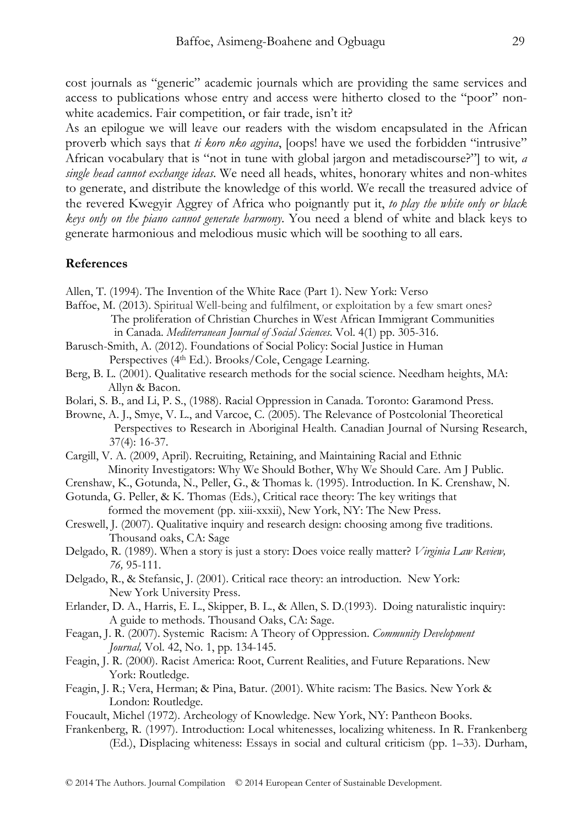cost journals as "generic" academic journals which are providing the same services and access to publications whose entry and access were hitherto closed to the "poor" nonwhite academics. Fair competition, or fair trade, isn't it?

As an epilogue we will leave our readers with the wisdom encapsulated in the African proverb which says that *ti koro nko agyina*, [oops! have we used the forbidden "intrusive" African vocabulary that is "not in tune with global jargon and metadiscourse?"] to wit*, a single head cannot exchange ideas*. We need all heads, whites, honorary whites and non-whites to generate, and distribute the knowledge of this world. We recall the treasured advice of the revered Kwegyir Aggrey of Africa who poignantly put it, *to play the white only or black keys only on the piano cannot generate harmony*. You need a blend of white and black keys to generate harmonious and melodious music which will be soothing to all ears.

## **References**

- Allen, T. (1994). The Invention of the White Race (Part 1). New York: Verso
- Baffoe, M. (2013). Spiritual Well-being and fulfilment, or exploitation by a few smart ones? The proliferation of Christian Churches in West African Immigrant Communities in Canada. *Mediterranean Journal of Social Sciences.* Vol. 4(1) pp. 305-316.
- Barusch-Smith, A. (2012). Foundations of Social Policy: Social Justice in Human Perspectives (4<sup>th</sup> Ed.). Brooks/Cole, Cengage Learning.
- Berg, B. L. (2001). Qualitative research methods for the social science. Needham heights, MA: Allyn & Bacon.
- Bolari, S. B., and Li, P. S., (1988). Racial Oppression in Canada. Toronto: Garamond Press.
- Browne, A. J., Smye, V. L., and Varcoe, C. (2005). The Relevance of Postcolonial Theoretical Perspectives to Research in Aboriginal Health. Canadian Journal of Nursing Research, 37(4): 16-37.
- Cargill, V. A. (2009, April). Recruiting, Retaining, and Maintaining Racial and Ethnic Minority Investigators: Why We Should Bother, Why We Should Care. Am J Public.

Crenshaw, K., Gotunda, N., Peller, G., & Thomas k. (1995). Introduction. In K. Crenshaw, N.

- Gotunda, G. Peller, & K. Thomas (Eds.), Critical race theory: The key writings that formed the movement (pp. xiii-xxxii), New York, NY: The New Press.
- Creswell, J. (2007). Qualitative inquiry and research design: choosing among five traditions. Thousand oaks, CA: Sage
- Delgado, R. (1989). When a story is just a story: Does voice really matter? *Virginia Law Review, 76,* 95-111.
- Delgado, R., & Stefansic, J. (2001). Critical race theory: an introduction. New York: New York University Press.
- Erlander, D. A., Harris, E. L., Skipper, B. L., & Allen, S. D.(1993). Doing naturalistic inquiry: A guide to methods. Thousand Oaks, CA: Sage.
- Feagan, J. R. (2007). Systemic Racism: A Theory of Oppression. *Community Development Journal,* Vol. 42, No. 1, pp. 134-145.
- Feagin, J. R. (2000). Racist America: Root, Current Realities, and Future Reparations. New York: Routledge.
- Feagin, J. R.; Vera, Herman; & Pina, Batur. (2001). White racism: The Basics*.* New York & London: Routledge.
- Foucault, Michel (1972). Archeology of Knowledge. New York, NY: Pantheon Books.
- Frankenberg, R. (1997). Introduction: Local whitenesses, localizing whiteness. In R. Frankenberg (Ed.), Displacing whiteness: Essays in social and cultural criticism (pp. 1–33). Durham,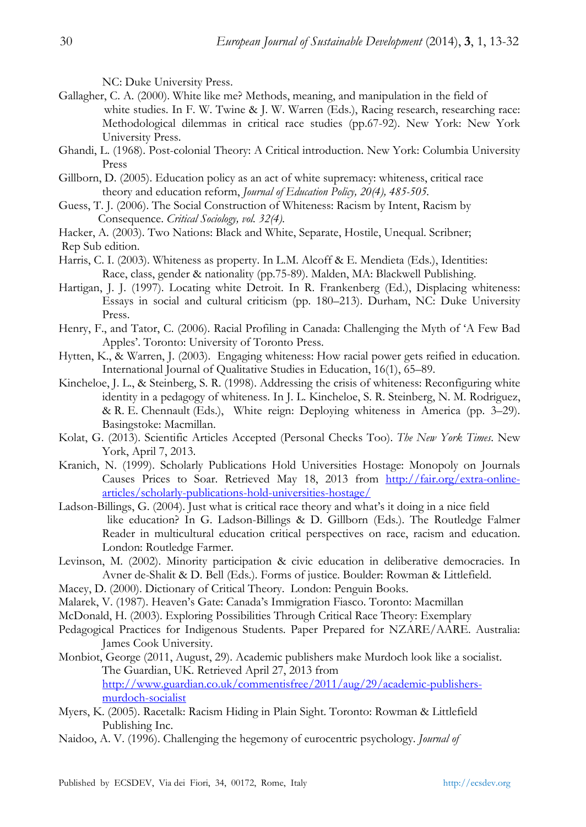NC: Duke University Press.

- Gallagher, C. A. (2000). White like me? Methods, meaning, and manipulation in the field of white studies. In F. W. Twine & J. W. Warren (Eds.), Racing research, researching race: Methodological dilemmas in critical race studies (pp.67-92). New York: New York University Press.
- Ghandi, L. (1968). Post-colonial Theory: A Critical introduction. New York: Columbia University Press
- Gillborn, D. (2005). Education policy as an act of white supremacy: whiteness, critical race theory and education reform, *Journal of Education Policy, 20(4), 485-505.*
- Guess, T. J. (2006). The Social Construction of Whiteness: Racism by Intent, Racism by Consequence. *Critical Sociology, vol. 32(4).*
- Hacker, A. (2003). Two Nations: Black and White, Separate, Hostile, Unequal. Scribner; Rep Sub edition.
- Harris, C. I. (2003). Whiteness as property. In L.M. Alcoff & E. Mendieta (Eds.), Identities: Race, class, gender & nationality (pp.75-89). Malden, MA: Blackwell Publishing.
- Hartigan, J. J. (1997). Locating white Detroit. In R. Frankenberg (Ed.), Displacing whiteness: Essays in social and cultural criticism (pp. 180–213). Durham, NC: Duke University Press.
- Henry, F., and Tator, C. (2006). Racial Profiling in Canada: Challenging the Myth of 'A Few Bad Apples'. Toronto: University of Toronto Press.
- Hytten, K., & Warren, J. (2003). Engaging whiteness: How racial power gets reified in education. International Journal of Qualitative Studies in Education, 16(1), 65–89.
- Kincheloe, J. L., & Steinberg, S. R. (1998). Addressing the crisis of whiteness: Reconfiguring white identity in a pedagogy of whiteness. In J. L. Kincheloe, S. R. Steinberg, N. M. Rodriguez, & R. E. Chennault (Eds.), White reign: Deploying whiteness in America (pp. 3–29). Basingstoke: Macmillan.
- Kolat, G. (2013). Scientific Articles Accepted (Personal Checks Too). *The New York Times*. New York, April 7, 2013.
- Kranich, N. (1999). Scholarly Publications Hold Universities Hostage: Monopoly on Journals Causes Prices to Soar. Retrieved May 18, 2013 from http://fair.org/extra-onlinearticles/scholarly-publications-hold-universities-hostage/
- Ladson-Billings, G. (2004). Just what is critical race theory and what's it doing in a nice field like education? In G. Ladson-Billings & D. Gillborn (Eds.). The Routledge Falmer Reader in multicultural education critical perspectives on race, racism and education. London: Routledge Farmer.
- Levinson, M. (2002). Minority participation & civic education in deliberative democracies. In Avner de-Shalit & D. Bell (Eds.). Forms of justice. Boulder: Rowman & Littlefield.
- Macey, D. (2000). Dictionary of Critical Theory. London: Penguin Books.
- Malarek, V. (1987). Heaven's Gate: Canada's Immigration Fiasco. Toronto: Macmillan
- McDonald, H. (2003). Exploring Possibilities Through Critical Race Theory: Exemplary
- Pedagogical Practices for Indigenous Students. Paper Prepared for NZARE/AARE. Australia: James Cook University.
- Monbiot, George (2011, August, 29). Academic publishers make Murdoch look like a socialist. The Guardian, UK. Retrieved April 27, 2013 from http://www.guardian.co.uk/commentisfree/2011/aug/29/academic-publishersmurdoch-socialist
- Myers, K. (2005). Racetalk: Racism Hiding in Plain Sight. Toronto: Rowman & Littlefield Publishing Inc.
- Naidoo, A. V. (1996). Challenging the hegemony of eurocentric psychology. *Journal of*